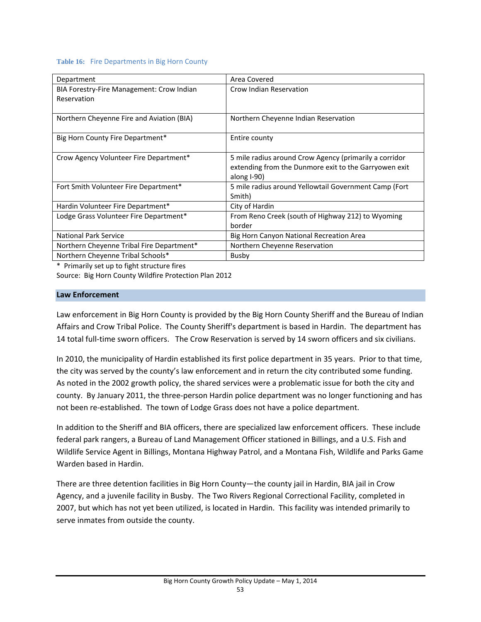#### **Table 16:** Fire Departments in Big Horn County

| Department                                               | Area Covered                                                                                                                   |
|----------------------------------------------------------|--------------------------------------------------------------------------------------------------------------------------------|
| BIA Forestry-Fire Management: Crow Indian<br>Reservation | Crow Indian Reservation                                                                                                        |
| Northern Cheyenne Fire and Aviation (BIA)                | Northern Cheyenne Indian Reservation                                                                                           |
| Big Horn County Fire Department*                         | Entire county                                                                                                                  |
| Crow Agency Volunteer Fire Department*                   | 5 mile radius around Crow Agency (primarily a corridor<br>extending from the Dunmore exit to the Garryowen exit<br>along I-90) |
| Fort Smith Volunteer Fire Department*                    | 5 mile radius around Yellowtail Government Camp (Fort<br>Smith)                                                                |
| Hardin Volunteer Fire Department*                        | City of Hardin                                                                                                                 |
| Lodge Grass Volunteer Fire Department*                   | From Reno Creek (south of Highway 212) to Wyoming<br>border                                                                    |
| <b>National Park Service</b>                             | Big Horn Canyon National Recreation Area                                                                                       |
| Northern Cheyenne Tribal Fire Department*                | Northern Cheyenne Reservation                                                                                                  |
| Northern Chevenne Tribal Schools*                        | Busby                                                                                                                          |

\* Primarily set up to fight structure fires Source: Big Horn County Wildfire Protection Plan 2012

## **Law Enforcement**

Law enforcement in Big Horn County is provided by the Big Horn County Sheriff and the Bureau of Indian Affairs and Crow Tribal Police. The County Sheriff's department is based in Hardin. The department has 14 total full-time sworn officers. The Crow Reservation is served by 14 sworn officers and six civilians.

In 2010, the municipality of Hardin established its first police department in 35 years. Prior to that time, the city was served by the county's law enforcement and in return the city contributed some funding. As noted in the 2002 growth policy, the shared services were a problematic issue for both the city and county. By January 2011, the three‐person Hardin police department was no longer functioning and has not been re-established. The town of Lodge Grass does not have a police department.

In addition to the Sheriff and BIA officers, there are specialized law enforcement officers. These include federal park rangers, a Bureau of Land Management Officer stationed in Billings, and a U.S. Fish and Wildlife Service Agent in Billings, Montana Highway Patrol, and a Montana Fish, Wildlife and Parks Game Warden based in Hardin.

There are three detention facilities in Big Horn County—the county jail in Hardin, BIA jail in Crow Agency, and a juvenile facility in Busby. The Two Rivers Regional Correctional Facility, completed in 2007, but which has not yet been utilized, is located in Hardin. This facility was intended primarily to serve inmates from outside the county.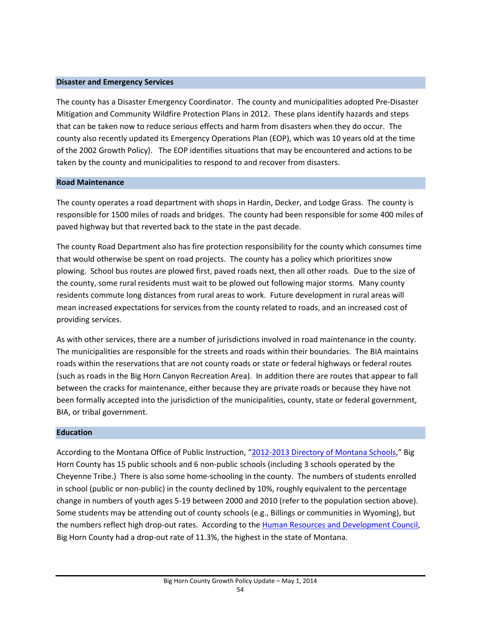#### **Disaster and Emergency Services**

The county has a Disaster Emergency Coordinator. The county and municipalities adopted Pre‐Disaster Mitigation and Community Wildfire Protection Plans in 2012. These plans identify hazards and steps that can be taken now to reduce serious effects and harm from disasters when they do occur. The county also recently updated its Emergency Operations Plan (EOP), which was 10 years old at the time of the 2002 Growth Policy). The EOP identifies situations that may be encountered and actions to be taken by the county and municipalities to respond to and recover from disasters.

### **Road Maintenance**

The county operates a road department with shops in Hardin, Decker, and Lodge Grass. The county is responsible for 1500 miles of roads and bridges. The county had been responsible for some 400 miles of paved highway but that reverted back to the state in the past decade.

The county Road Department also has fire protection responsibility for the county which consumes time that would otherwise be spent on road projects. The county has a policy which prioritizes snow plowing. School bus routes are plowed first, paved roads next, then all other roads. Due to the size of the county, some rural residents must wait to be plowed out following major storms. Many county residents commute long distances from rural areas to work. Future development in rural areas will mean increased expectations for services from the county related to roads, and an increased cost of providing services.

As with other services, there are a number of jurisdictions involved in road maintenance in the county. The municipalities are responsible for the streets and roads within their boundaries. The BIA maintains roads within the reservations that are not county roads or state or federal highways or federal routes (such as roads in the Big Horn Canyon Recreation Area). In addition there are routes that appear to fall between the cracks for maintenance, either because they are private roads or because they have not been formally accepted into the jurisdiction of the municipalities, county, state or federal government, BIA, or tribal government.

### **Education**

According to the Montana Office of Public Instruction, "2012‐2013 Directory of Montana Schools," Big Horn County has 15 public schools and 6 non‐public schools (including 3 schools operated by the Cheyenne Tribe.) There is also some home‐schooling in the county. The numbers of students enrolled in school (public or non-public) in the county declined by 10%, roughly equivalent to the percentage change in numbers of youth ages 5‐19 between 2000 and 2010 (refer to the population section above). Some students may be attending out of county schools (e.g., Billings or communities in Wyoming), but the numbers reflect high drop-out rates. According to the Human Resources and Development Council, Big Horn County had a drop‐out rate of 11.3%, the highest in the state of Montana.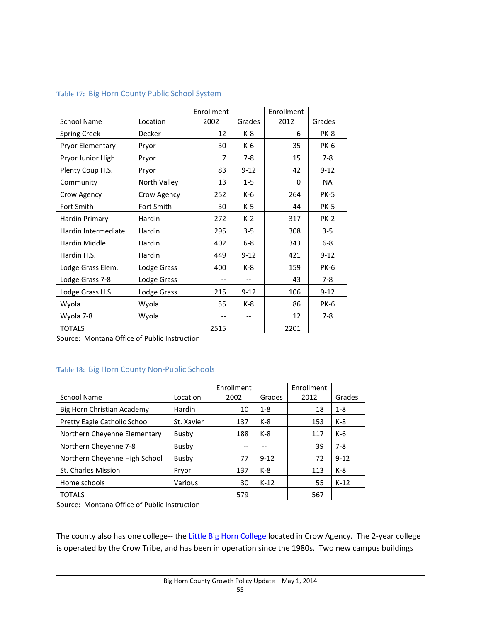|                     |              | Enrollment |          | Enrollment |             |
|---------------------|--------------|------------|----------|------------|-------------|
| <b>School Name</b>  | Location     | 2002       | Grades   | 2012       | Grades      |
| <b>Spring Creek</b> | Decker       | 12         | $K-8$    | 6          | PK-8        |
| Pryor Elementary    | Pryor        | 30         | $K-6$    | 35         | <b>PK-6</b> |
| Pryor Junior High   | Pryor        | 7          | $7-8$    | 15         | $7 - 8$     |
| Plenty Coup H.S.    | Pryor        | 83         | $9 - 12$ | 42         | $9 - 12$    |
| Community           | North Valley | 13         | $1 - 5$  | $\Omega$   | <b>NA</b>   |
| Crow Agency         | Crow Agency  | 252        | $K-6$    | 264        | <b>PK-5</b> |
| Fort Smith          | Fort Smith   | 30         | $K-5$    | 44         | <b>PK-5</b> |
| Hardin Primary      | Hardin       | 272        | $K-2$    | 317        | <b>PK-2</b> |
| Hardin Intermediate | Hardin       | 295        | $3 - 5$  | 308        | $3 - 5$     |
| Hardin Middle       | Hardin       | 402        | $6-8$    | 343        | $6-8$       |
| Hardin H.S.         | Hardin       | 449        | $9 - 12$ | 421        | $9 - 12$    |
| Lodge Grass Elem.   | Lodge Grass  | 400        | $K-8$    | 159        | <b>PK-6</b> |
| Lodge Grass 7-8     | Lodge Grass  | --         |          | 43         | $7 - 8$     |
| Lodge Grass H.S.    | Lodge Grass  | 215        | $9 - 12$ | 106        | $9 - 12$    |
| Wyola               | Wyola        | 55         | $K-8$    | 86         | <b>PK-6</b> |
| Wyola 7-8           | Wyola        | --         | $- -$    | 12         | $7-8$       |
| <b>TOTALS</b>       |              | 2515       |          | 2201       |             |

#### **Table 17:** Big Horn County Public School System

Source: Montana Office of Public Instruction

### **Table 18:** Big Horn County Non‐Public Schools

|                               |            | Enrollment |          | Enrollment |          |
|-------------------------------|------------|------------|----------|------------|----------|
| <b>School Name</b>            | Location   | 2002       | Grades   | 2012       | Grades   |
| Big Horn Christian Academy    | Hardin     | 10         | $1 - 8$  | 18         | $1 - 8$  |
| Pretty Eagle Catholic School  | St. Xavier | 137        | $K-8$    | 153        | $K-8$    |
| Northern Chevenne Elementary  | Busby      | 188        | $K-8$    | 117        | $K-6$    |
| Northern Cheyenne 7-8         | Busby      |            | --       | 39         | $7-8$    |
| Northern Cheyenne High School | Busby      | 77         | $9 - 12$ | 72         | $9 - 12$ |
| St. Charles Mission           | Pryor      | 137        | $K-8$    | 113        | $K-8$    |
| Home schools                  | Various    | 30         | $K-12$   | 55         | $K-12$   |
| <b>TOTALS</b>                 |            | 579        |          | 567        |          |

Source: Montana Office of Public Instruction

The county also has one college-- the Little Big Horn College located in Crow Agency. The 2-year college is operated by the Crow Tribe, and has been in operation since the 1980s. Two new campus buildings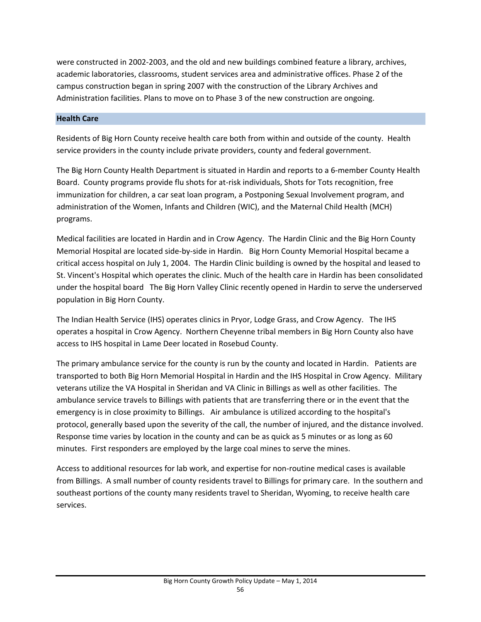were constructed in 2002‐2003, and the old and new buildings combined feature a library, archives, academic laboratories, classrooms, student services area and administrative offices. Phase 2 of the campus construction began in spring 2007 with the construction of the Library Archives and Administration facilities. Plans to move on to Phase 3 of the new construction are ongoing.

# **Health Care**

Residents of Big Horn County receive health care both from within and outside of the county. Health service providers in the county include private providers, county and federal government.

The Big Horn County Health Department is situated in Hardin and reports to a 6‐member County Health Board. County programs provide flu shots for at‐risk individuals, Shots for Tots recognition, free immunization for children, a car seat loan program, a Postponing Sexual Involvement program, and administration of the Women, Infants and Children (WIC), and the Maternal Child Health (MCH) programs.

Medical facilities are located in Hardin and in Crow Agency. The Hardin Clinic and the Big Horn County Memorial Hospital are located side‐by‐side in Hardin. Big Horn County Memorial Hospital became a critical access hospital on July 1, 2004. The Hardin Clinic building is owned by the hospital and leased to St. Vincent's Hospital which operates the clinic. Much of the health care in Hardin has been consolidated under the hospital board The Big Horn Valley Clinic recently opened in Hardin to serve the underserved population in Big Horn County.

The Indian Health Service (IHS) operates clinics in Pryor, Lodge Grass, and Crow Agency. The IHS operates a hospital in Crow Agency. Northern Cheyenne tribal members in Big Horn County also have access to IHS hospital in Lame Deer located in Rosebud County.

The primary ambulance service for the county is run by the county and located in Hardin. Patients are transported to both Big Horn Memorial Hospital in Hardin and the IHS Hospital in Crow Agency. Military veterans utilize the VA Hospital in Sheridan and VA Clinic in Billings as well as other facilities. The ambulance service travels to Billings with patients that are transferring there or in the event that the emergency is in close proximity to Billings. Air ambulance is utilized according to the hospital's protocol, generally based upon the severity of the call, the number of injured, and the distance involved. Response time varies by location in the county and can be as quick as 5 minutes or as long as 60 minutes. First responders are employed by the large coal mines to serve the mines.

Access to additional resources for lab work, and expertise for non‐routine medical cases is available from Billings. A small number of county residents travel to Billings for primary care. In the southern and southeast portions of the county many residents travel to Sheridan, Wyoming, to receive health care services.